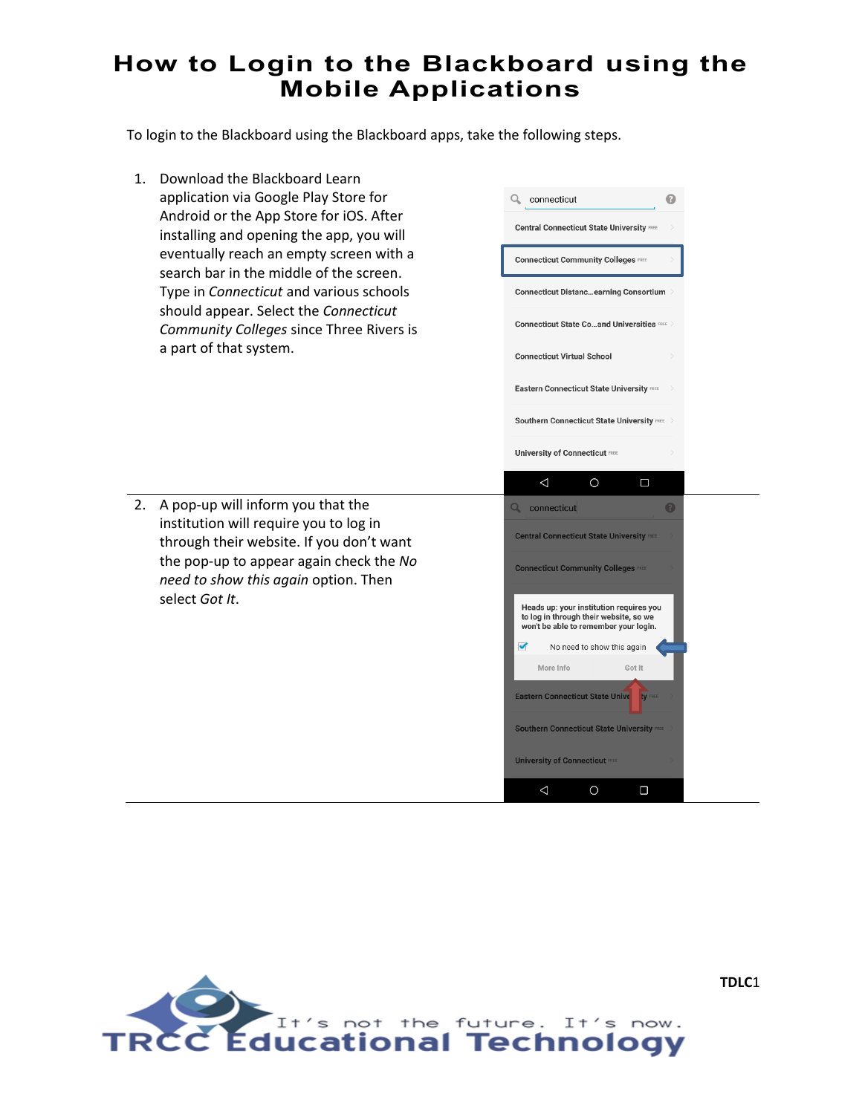To login to the Blackboard using the Blackboard apps, take the following steps.

1. Download the Blackboard Learn application via Google Play Store for Android or the App Store for iOS. After installing and opening the app, you will eventually reach an empty screen with a search bar in the middle of the screen. Type in *Connecticut* and various schools should appear. Select the *Connecticut Community Colleges* since Three Rivers is a part of that system.

2. A pop-up will inform you that the institution will require you to log in through their website. If you don't want the pop-up to appear again check the *No need to show this again* option. Then

select *Got It*.

Q connecticut **Central Connecticut State University FREE Connecticut Community Colleges FREE Connecticut Distanc...earning Consortium Connecticut State Co...and Universities REE Connecticut Virtual School** Eastern Connecticut State University Southern Connecticut State University FREE **University of Connecticut FREE**  $\triangle$  $\bigcirc$  $\Box$ **Q** connecticut **Central Connecticut State University Connecticut Community Colleges FREE** Heads up: your institution requires you<br>to log in through their website, so we won't be able to remember your login. No need to show this again More Info Got It Eastern Connecticut State Unive **Southern Connecticut State University University of Connecticut FREE** 

 $\Delta$ 

 $\circ$ 

 $\Box$ 

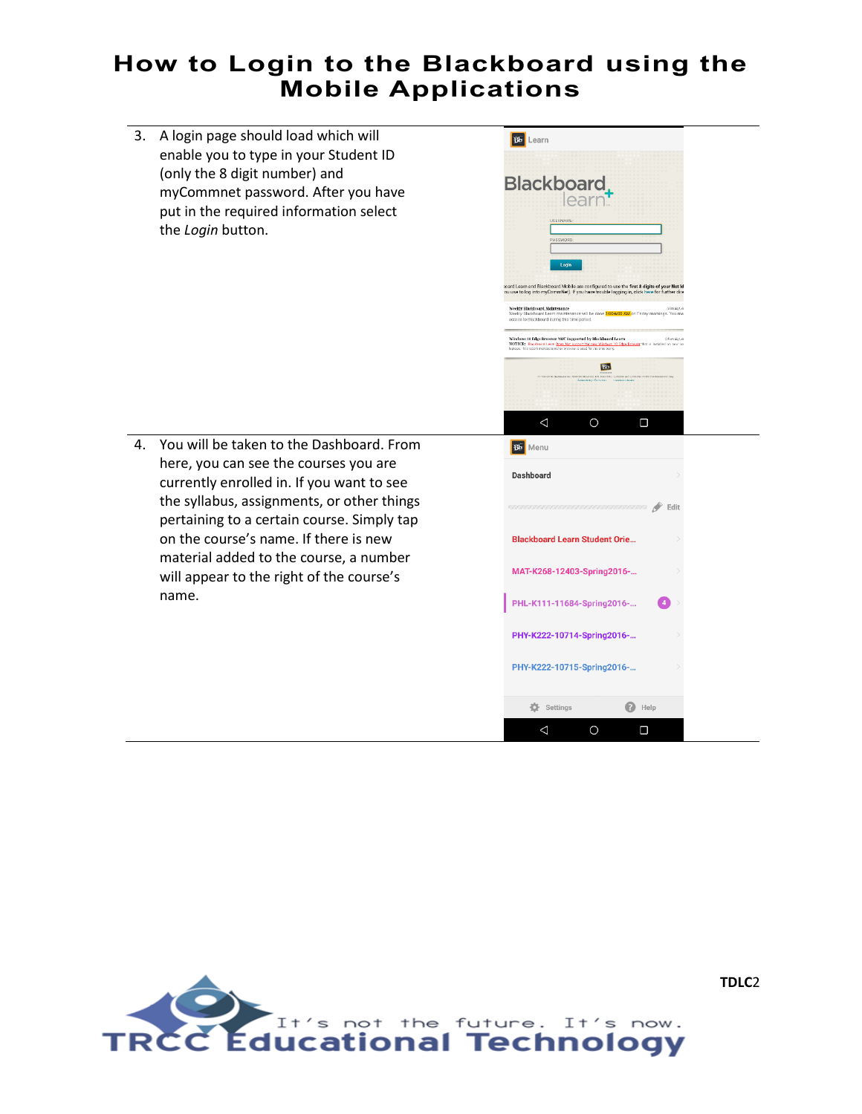**Bb** Learn

3. A login page should load which will enable you to type in your Student ID (only the 8 digit number) and myCommnet password. After you have put in the required information select the *Login* button.



4. You will be taken to the Dashboard. From here, you can see the courses you are currently enrolled in. If you want to see the syllabus, assignments, or other things pertaining to a certain course. Simply tap on the course's name. If there is new material added to the course, a number will appear to the right of the course's name.



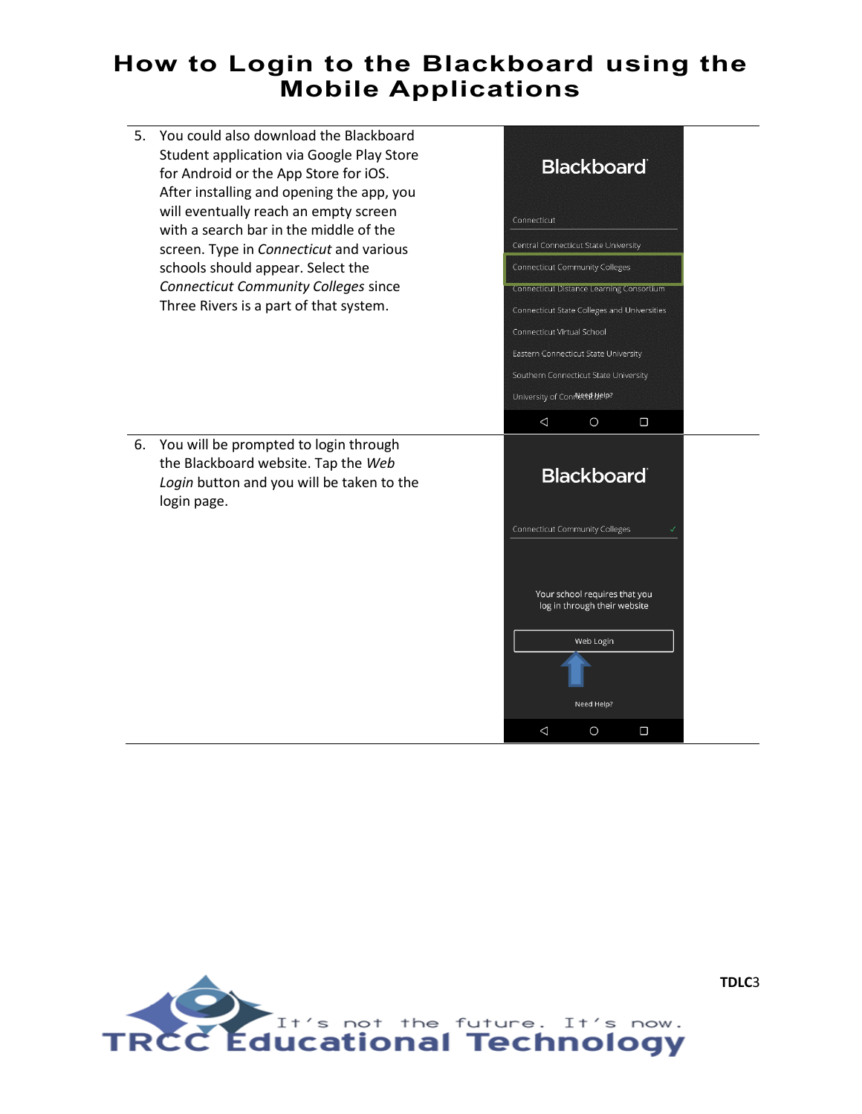5. You could also download the Blackboard Student application via Google Play Store for Android or the App Store for iOS. After installing and opening the app, you will eventually reach an empty screen with a search bar in the middle of the screen. Type in *Connecticut* and various schools should appear. Select the *Connecticut Community Colleges* since Three Rivers is a part of that system.



6. You will be prompted to login through the Blackboard website. Tap the *Web Login* button and you will be taken to the login page.



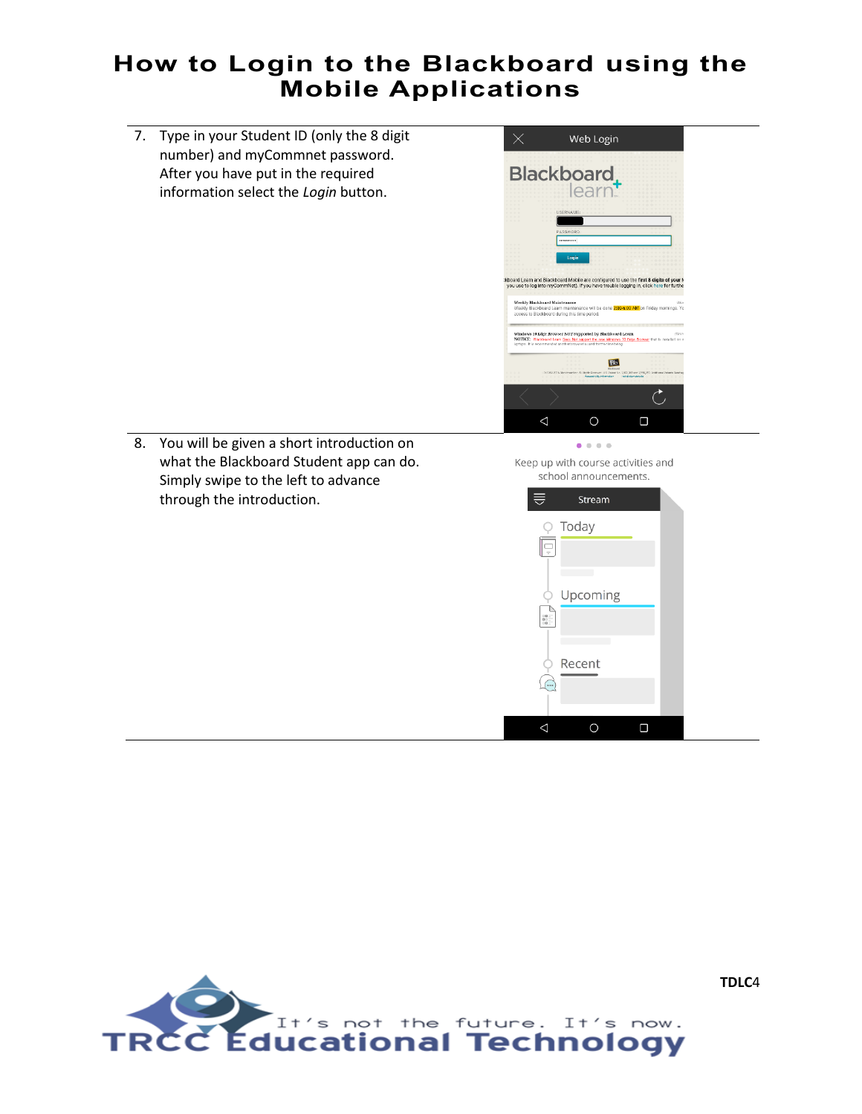7. Type in your Student ID (only the 8 digit number) and myCommnet password. After you have put in the required information select the *Login* button.



8. You will be given a short introduction on what the Blackboard Student app can do. Simply swipe to the left to advance through the introduction.

Keep up with course activities and school announcements.